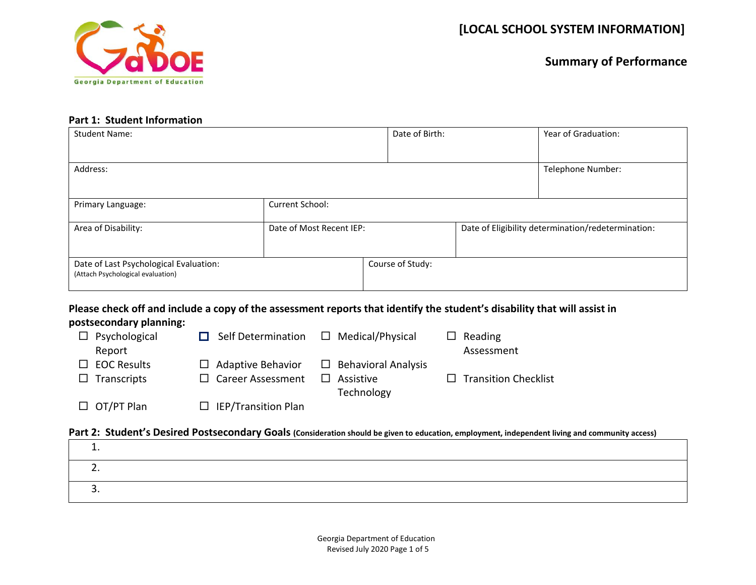

#### **Part 1: Student Information**

| <b>Student Name:</b>                                                        |                          | Date of Birth:   | Year of Graduation:                                |
|-----------------------------------------------------------------------------|--------------------------|------------------|----------------------------------------------------|
| Address:                                                                    |                          |                  | Telephone Number:                                  |
| Primary Language:                                                           | Current School:          |                  |                                                    |
| Area of Disability:                                                         | Date of Most Recent IEP: |                  | Date of Eligibility determination/redetermination: |
| Date of Last Psychological Evaluation:<br>(Attach Psychological evaluation) |                          | Course of Study: |                                                    |

# **Please check off and include a copy of the assessment reports that identify the student's disability that will assist in**

#### **postsecondary planning:**

| $\Box$ Psychological<br>Report           | Self Determination                                   | $\Box$ Medical/Physical                 | $\Box$ Reading<br>Assessment |
|------------------------------------------|------------------------------------------------------|-----------------------------------------|------------------------------|
| $\Box$ EOC Results<br>$\Box$ Transcripts | $\Box$ Adaptive Behavior<br>$\Box$ Career Assessment | $\Box$ Behavioral Analysis<br>Assistive | $\Box$ Transition Checklist  |
|                                          |                                                      | Technology                              |                              |
| $\Box$ OT/PT Plan                        | $\Box$ IEP/Transition Plan                           |                                         |                              |

### **Part 2: Student's Desired Postsecondary Goals (Consideration should be given to education, employment, independent living and community access)**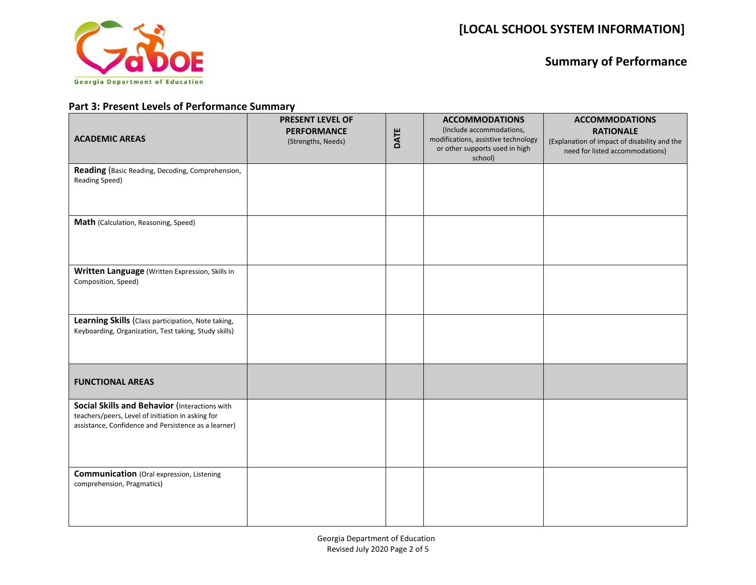

## **Part 3: Present Levels of Performance Summary**

| <b>ACADEMIC AREAS</b>                                                                                                                                      | PRESENT LEVEL OF<br><b>PERFORMANCE</b><br>(Strengths, Needs) | DATE | <b>ACCOMMODATIONS</b><br>(Include accommodations,<br>modifications, assistive technology<br>or other supports used in high<br>school) | <b>ACCOMMODATIONS</b><br><b>RATIONALE</b><br>(Explanation of impact of disability and the<br>need for listed accommodations) |
|------------------------------------------------------------------------------------------------------------------------------------------------------------|--------------------------------------------------------------|------|---------------------------------------------------------------------------------------------------------------------------------------|------------------------------------------------------------------------------------------------------------------------------|
| Reading (Basic Reading, Decoding, Comprehension,<br>Reading Speed)                                                                                         |                                                              |      |                                                                                                                                       |                                                                                                                              |
| Math (Calculation, Reasoning, Speed)                                                                                                                       |                                                              |      |                                                                                                                                       |                                                                                                                              |
| Written Language (Written Expression, Skills in<br>Composition, Speed)                                                                                     |                                                              |      |                                                                                                                                       |                                                                                                                              |
| Learning Skills (Class participation, Note taking,<br>Keyboarding, Organization, Test taking, Study skills)                                                |                                                              |      |                                                                                                                                       |                                                                                                                              |
| <b>FUNCTIONAL AREAS</b>                                                                                                                                    |                                                              |      |                                                                                                                                       |                                                                                                                              |
| Social Skills and Behavior (Interactions with<br>teachers/peers, Level of initiation in asking for<br>assistance, Confidence and Persistence as a learner) |                                                              |      |                                                                                                                                       |                                                                                                                              |
| <b>Communication</b> (Oral expression, Listening<br>comprehension, Pragmatics)                                                                             |                                                              |      |                                                                                                                                       |                                                                                                                              |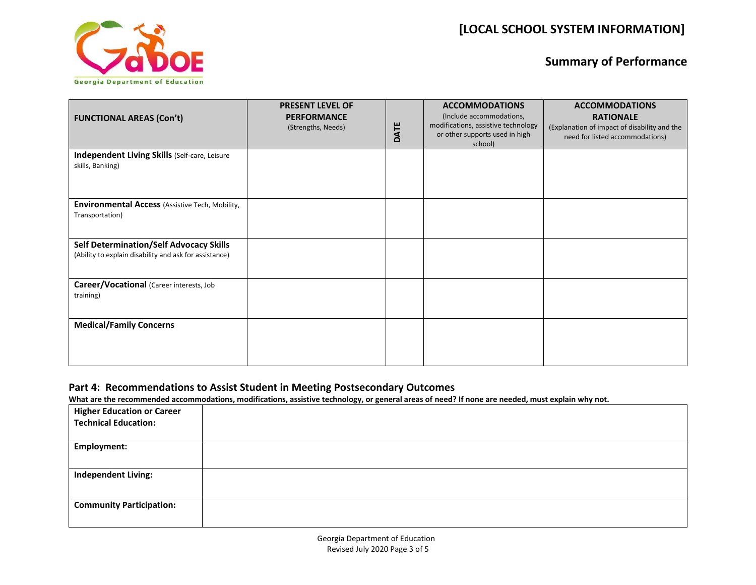

| <b>FUNCTIONAL AREAS (Con't)</b>                                                                          | <b>PRESENT LEVEL OF</b><br><b>PERFORMANCE</b><br>(Strengths, Needs) | DATE | <b>ACCOMMODATIONS</b><br>(Include accommodations,<br>modifications, assistive technology<br>or other supports used in high<br>school) | <b>ACCOMMODATIONS</b><br><b>RATIONALE</b><br>(Explanation of impact of disability and the<br>need for listed accommodations) |
|----------------------------------------------------------------------------------------------------------|---------------------------------------------------------------------|------|---------------------------------------------------------------------------------------------------------------------------------------|------------------------------------------------------------------------------------------------------------------------------|
| Independent Living Skills (Self-care, Leisure<br>skills, Banking)                                        |                                                                     |      |                                                                                                                                       |                                                                                                                              |
| <b>Environmental Access (Assistive Tech, Mobility,</b><br>Transportation)                                |                                                                     |      |                                                                                                                                       |                                                                                                                              |
| <b>Self Determination/Self Advocacy Skills</b><br>(Ability to explain disability and ask for assistance) |                                                                     |      |                                                                                                                                       |                                                                                                                              |
| Career/Vocational (Career interests, Job<br>training)                                                    |                                                                     |      |                                                                                                                                       |                                                                                                                              |
| <b>Medical/Family Concerns</b>                                                                           |                                                                     |      |                                                                                                                                       |                                                                                                                              |

### **Part 4: Recommendations to Assist Student in Meeting Postsecondary Outcomes**

**What are the recommended accommodations, modifications, assistive technology, or general areas of need? If none are needed, must explain why not.**

| <b>Higher Education or Career</b><br><b>Technical Education:</b> |  |
|------------------------------------------------------------------|--|
| <b>Employment:</b>                                               |  |
| <b>Independent Living:</b>                                       |  |
| <b>Community Participation:</b>                                  |  |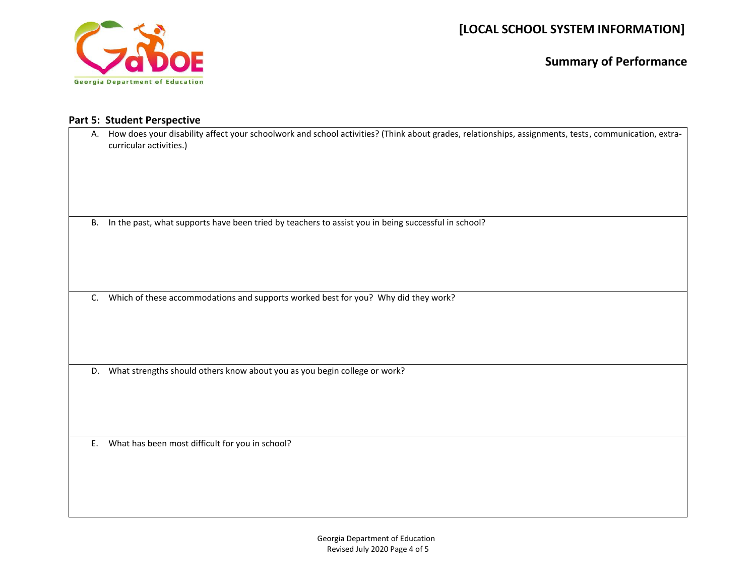

### **Part 5: Student Perspective**

| А.        | How does your disability affect your schoolwork and school activities? (Think about grades, relationships, assignments, tests, communication, extra-<br>curricular activities.) |
|-----------|---------------------------------------------------------------------------------------------------------------------------------------------------------------------------------|
| <b>B.</b> | In the past, what supports have been tried by teachers to assist you in being successful in school?                                                                             |
| C.        | Which of these accommodations and supports worked best for you? Why did they work?                                                                                              |
|           | D. What strengths should others know about you as you begin college or work?                                                                                                    |
| E.        | What has been most difficult for you in school?                                                                                                                                 |